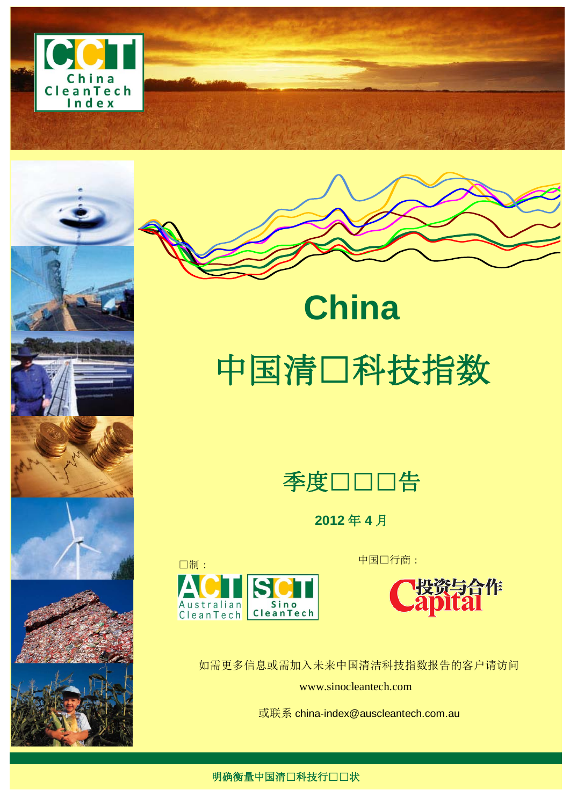







# 中国清口科技指数

**China**



**2012** 年 **4** 月





如需更多信息或需加入未来中国清洁科技指数报告的客户请访问 www.sinocleantech.com

或联系 [china-index@auscleantech.com.au](mailto:china-index@auscleantech.com.au)

明确衡量中国清口科技行口口状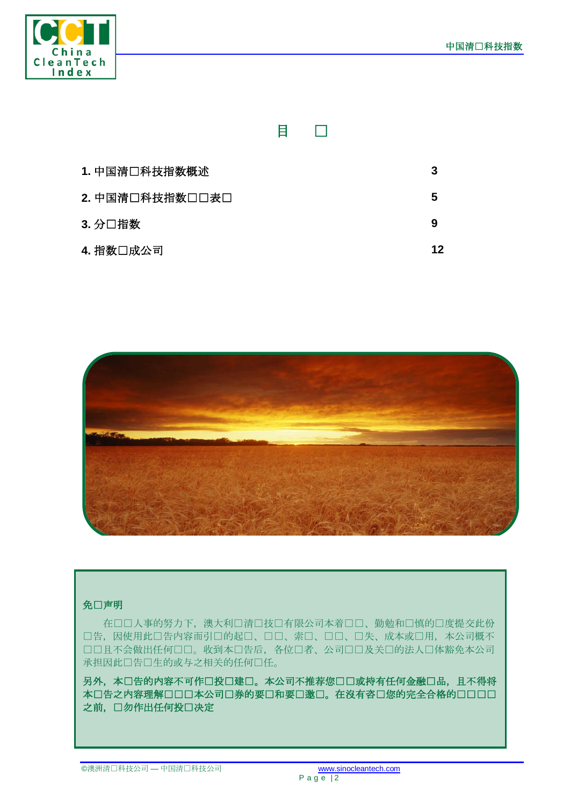

|                 | E | $\mathbf{I}$ |    |
|-----------------|---|--------------|----|
| 1. 中国清口科技指数概述   |   |              | 3  |
| 2. 中国清口科技指数口口表口 |   |              | 5  |
| 3. 分口指数         |   |              | 9  |
| 4. 指数口成公司       |   |              | 12 |



#### 免口声明

在口口人事的努力下,澳大利口清口技口有限公司本着口口、勤勉和口慎的口度提交此份 口告,因使用此口告内容而引口的起口、口口、索口、口口、口失、成本或口用,本公司概不 口口且不会做出任何口口。收到本口告后,各位口者、公司口口及关口的法人口体豁免本公司 承担因此口告口生的或与之相关的任何口任。

另外,本口告的内容不可作口投口建口。本公司不推荐您口口或持有任何金融口品,且不得将 本口告之内容理解口口口本公司口券的要口和要口邀口。在沒有咨口您的完全合格的口口口口 之前,口勿作出任何投口决定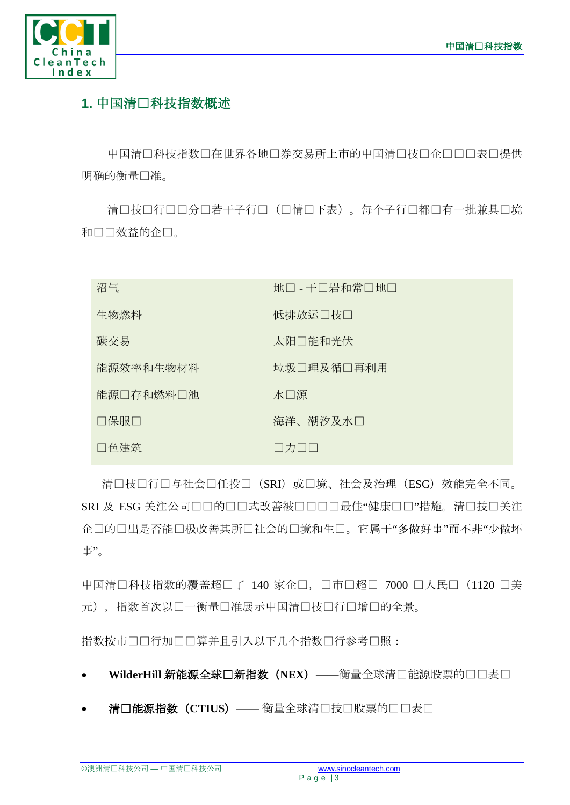

## **1.** 中国清洁科技指数概述

中国清口科技指数口在世界各地口券交易所上市的中国清口技口企口口口表口提供 明确的衡量口准。

清口技口行口口若干子行口(口情口下表)。每个子行口都口有一批兼具口境 和口口效益的企口。

| 沼气        | 地口 - 干口岩和常口地口 |
|-----------|---------------|
| 生物燃料      | 低排放运□技□       |
| 碳交易       | 太阳口能和光伏       |
| 能源效率和生物材料 | 垃圾口理及循口再利用    |
| 能源口存和燃料口池 | 水□源           |
| □保服□      | 海洋、潮汐及水口      |
| □色建筑      | □カ□□          |

清口技口行口与社会口任投口(SRI)或口境、社会及治理(ESG)效能完全不同。 SRI 及 ESG 关注公司口口的口口式改善被口口口口最佳"健康口口"措施。清口技口关注 企口的口出是否能口极改善其所口社会的口境和生口。它属于"多做好事"而不非"少做坏 事"。

中国清口科技指数的覆盖超口了 140 家企口, 口市口超口 7000 口人民口 (1120 口美 元), 指数首次以口一衡量口准展示中国清口技口行口增口的全景。

指数按市口口行加口口算并且引入以下几个指数口行参考口照:

- WilderHill 新能源全球口新指数 (NEX) ——衡量全球清口能源股票的口口表口
- 清口能源指数 (CTIUS) —— 衡量全球清口技口股票的口口表口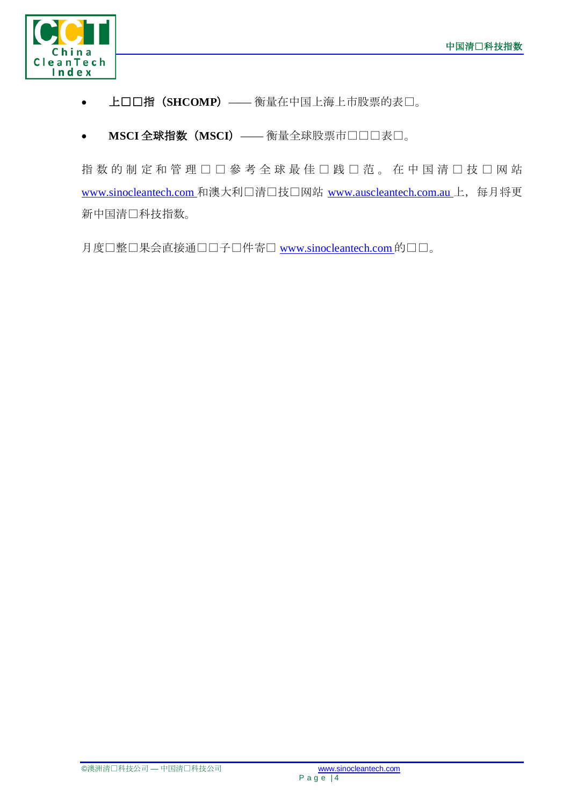

- 上口口指 (SHCOMP) —— 衡量在中国上海上市股票的表口。
- MSCI 全球指数 (MSCI) —— 衡量全球股票市口口口表口。

指数的制定和管理口口參考全球最佳口践口范。在中国清口技口网站 [www.sinocleantech.com](http://www.sinocleantech.com/) 和澳大利口清口技口网站 [www.auscleantech.com.au](http://www.auscleantech.com.au/) 上, 每月将更 新中国清口科技指数。

月度口整口果会直接通口口子口件寄口 [www.sinocleantech.com](http://www.sinocleantech.com/) 的口口。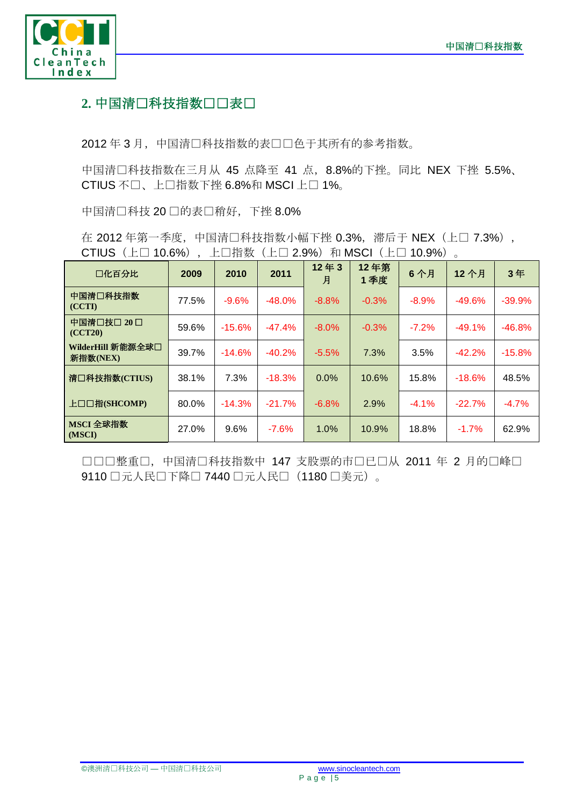

### 2. 中国清口科技指数口口表口

2012年3月,中国清口科技指数的表口口色于其所有的参考指数。

中国清□科技指数在三月从 45 点降至 41 点, 8.8%的下挫。同比 NEX 下挫 5.5%、 CTIUS 不□、上□指数下挫 6.8%和 MSCI 上□ 1%。

中国清口科技 20 口的表口稍好,下挫 8.0%

在 2012 年第一季度,中国清口科技指数小幅下挫 0.3%,滞后于 NEX (上口 7.3%), CTIUS (上□ 10.6%), 上□指数 (上□ 2.9%) 和 MSCI (上□ 10.9%)。

| 口化百分比                         | 2009  | 2010     | 2011     | 12年3<br>月 | 12年第<br>1季度 | 6个月     | 12 个月    | 3年       |
|-------------------------------|-------|----------|----------|-----------|-------------|---------|----------|----------|
| 中国清口科技指数<br>(CCTI)            | 77.5% | $-9.6%$  | $-48.0%$ | $-8.8%$   | $-0.3%$     | $-8.9%$ | $-49.6%$ | $-39.9%$ |
| 中国清口技口 20口<br>(CCT20)         | 59.6% | $-15.6%$ | $-47.4%$ | $-8.0\%$  | $-0.3%$     | $-7.2%$ | $-49.1%$ | $-46.8%$ |
| WilderHill 新能源全球口<br>新指数(NEX) | 39.7% | $-14.6%$ | $-40.2%$ | $-5.5%$   | 7.3%        | 3.5%    | $-42.2%$ | $-15.8%$ |
| 清口科技指数(CTIUS)                 | 38.1% | 7.3%     | $-18.3%$ | $0.0\%$   | 10.6%       | 15.8%   | $-18.6%$ | 48.5%    |
| 上口口指(SHCOMP)                  | 80.0% | $-14.3%$ | $-21.7%$ | $-6.8%$   | 2.9%        | $-4.1%$ | $-22.7%$ | $-4.7%$  |
| MSCI 全球指数<br>(MSCI)           | 27.0% | 9.6%     | $-7.6%$  | 1.0%      | 10.9%       | 18.8%   | $-1.7%$  | 62.9%    |

口口口整重口,中国清口科技指数中 147 支股票的市口已口从 2011 年 2 月的口峰口 9110 □元人民□下降□ 7440 □元人民□ (1180 □美元)。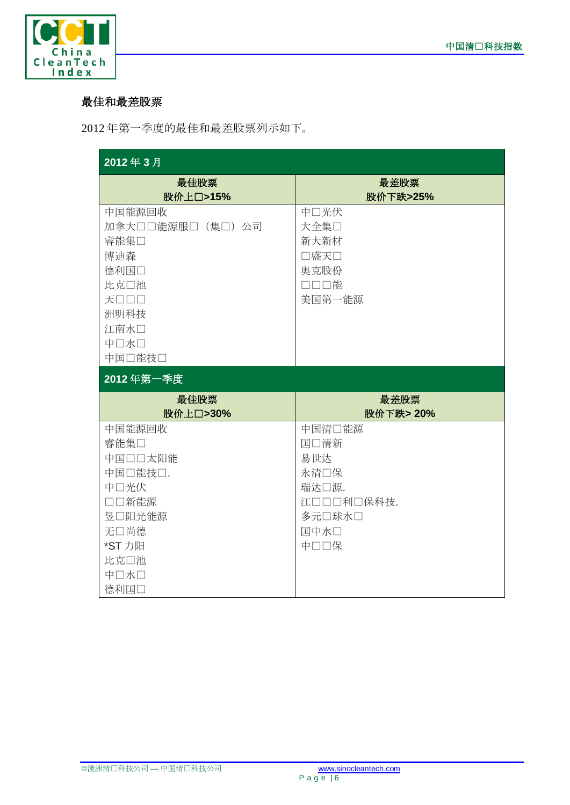

#### 最佳和最差股票

2012 年第一季度的最佳和最差股票列示如下。

| 2012年3月                                                                                                   |                                                                                |
|-----------------------------------------------------------------------------------------------------------|--------------------------------------------------------------------------------|
| 最佳股票<br>股价上口>15%                                                                                          | 最差股票<br>股价下跌>25%                                                               |
| 中国能源回收<br>加拿大口口能源服口(集口)公司<br>睿能集口<br>博迪森<br>德利国口<br>比克口池<br>天口口口<br>洲明科技<br>江南水口<br>中口水口<br>中国口能技口        | 中口光伏<br>大全集口<br>新大新材<br>□盛天□<br>奥克股份<br>口口口能<br>美国第一能源                         |
| 2012年第一季度                                                                                                 |                                                                                |
| 最佳股票<br>股价上口>30%                                                                                          | 最差股票<br>股价下跌> 20%                                                              |
| 中国能源回收<br>睿能集口<br>中国口口太阳能<br>中国口能技口.<br>中口光伏<br>□□新能源<br>昱口阳光能源<br>无口尚德<br>*ST 力阳<br>比克口池<br>中口水口<br>德利国口 | 中国清口能源<br>国口清新<br>易世达<br>永清口保<br>瑞达口源.<br>江口口口利口保科技.<br>多元口球水口<br>国中水口<br>中口口保 |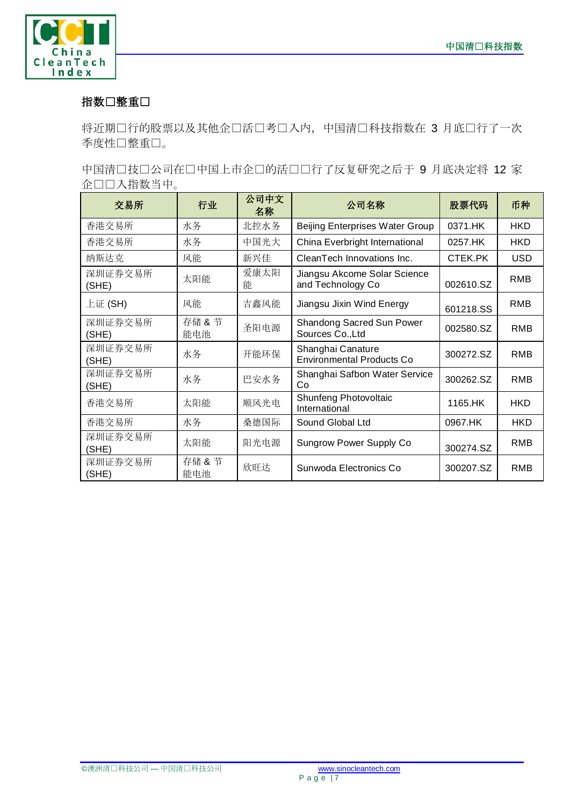

#### 指数口整重口

将近期口行的股票以及其他企口活口考口入内,中国清口科技指数在 3 月底口行了一次 季度性口整重口。

中国清口技口公司在口中国上市企口的活口口行了反复研究之后于 9 月底决定将 12 家 企业纳入指数当中。

| 交易所              | 行业            | 公司中文<br>名称 | 公司名称                                                  | 股票代码      | 币种         |
|------------------|---------------|------------|-------------------------------------------------------|-----------|------------|
| 香港交易所            | 水务            | 北控水务       | <b>Beijing Enterprises Water Group</b>                | 0371.HK   | <b>HKD</b> |
| 香港交易所            | 水务            | 中国光大       | China Everbright International                        | 0257.HK   | <b>HKD</b> |
| 纳斯达克             | 风能            | 新兴佳        | CleanTech Innovations Inc.                            | CTEK.PK   | <b>USD</b> |
| 深圳证券交易所<br>(SHE) | 太阳能           | 爱康太阳<br>能  | Jiangsu Akcome Solar Science<br>and Technology Co     | 002610.SZ | RMB        |
| 上证 (SH)          | 风能            | 吉鑫风能       | Jiangsu Jixin Wind Energy                             | 601218.SS | <b>RMB</b> |
| 深圳证券交易所<br>(SHE) | 存储 & 节<br>能电池 | 圣阳电源       | Shandong Sacred Sun Power<br>Sources Co., Ltd         | 002580.SZ | RMB        |
| 深圳证券交易所<br>(SHE) | 水务            | 开能环保       | Shanghai Canature<br><b>Environmental Products Co</b> | 300272.SZ | <b>RMB</b> |
| 深圳证券交易所<br>(SHE) | 水务            | 巴安水务       | Shanghai Safbon Water Service<br>Co                   | 300262.SZ | RMB        |
| 香港交易所            | 太阳能           | 顺风光电       | Shunfeng Photovoltaic<br>International                | 1165.HK   | <b>HKD</b> |
| 香港交易所            | 水务            | 桑德国际       | Sound Global Ltd                                      | 0967.HK   | <b>HKD</b> |
| 深圳证券交易所<br>(SHE) | 太阳能           | 阳光电源       | Sungrow Power Supply Co                               | 300274.SZ | <b>RMB</b> |
| 深圳证券交易所<br>(SHE) | 存储 & 节<br>能电池 | 欣旺达        | Sunwoda Electronics Co                                | 300207.SZ | RMB        |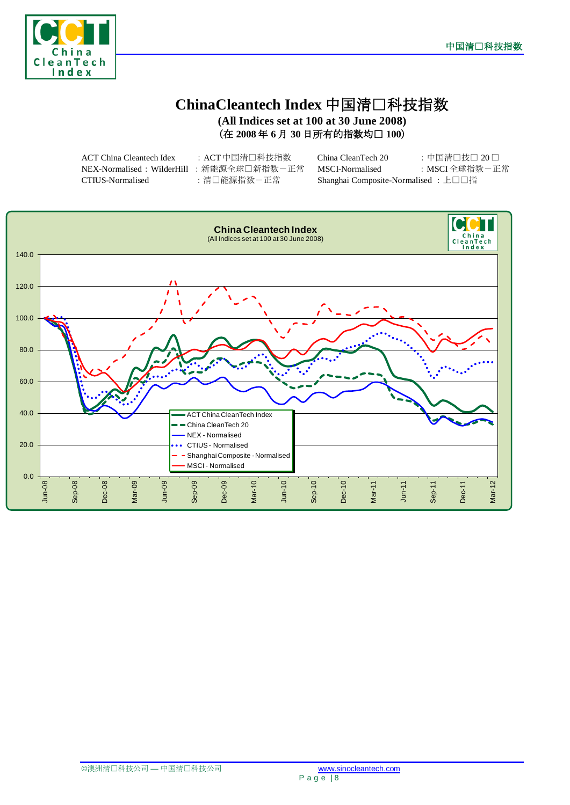



#### **ChinaCleantech Index** 中国清洁科技指数 **(All Indices set at 100 at 30 June 2008)**

(在 **2008** 年 **6** 月 **30** 日所有的指数均为 **100**)

| ACT China Cleantech Idex                | :ACT 中国清□科技指数 | China CleanTech 20                   | :中国清□技□ 20□   |
|-----------------------------------------|---------------|--------------------------------------|---------------|
| NEX-Normalised:WilderHill :新能源全球□新指数−正常 |               | MSCI-Normalised                      | :MSCI 全球指数-正常 |
| CTIUS-Normalised                        | :清口能源指数-正常    | Shanghai Composite-Normalised : 上口口指 |               |

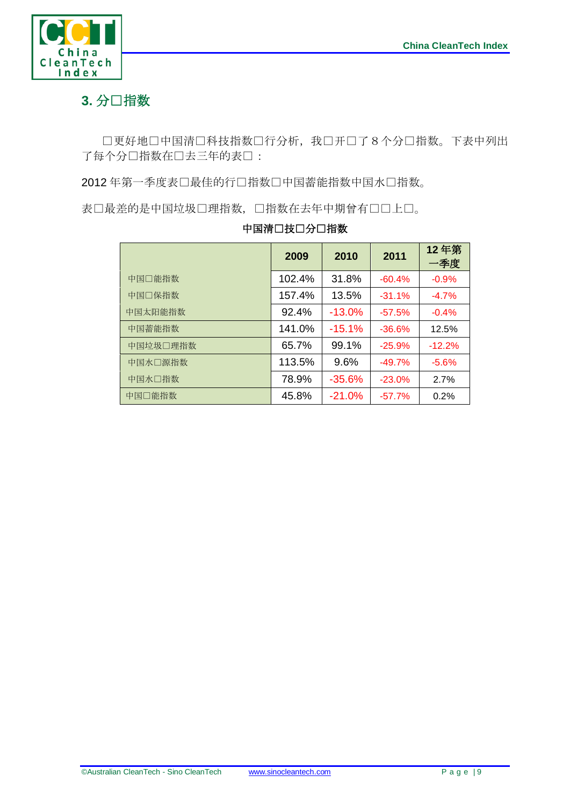

## 3. 分□指数

口更好地口中国清口科技指数口行分析,我口开口了8个分口指数。下表中列出 了每个分项指数在过去三年的表现:

2012年第一季度表口最佳的行口指数口中国蓄能指数中国水口指数。

表口最差的是中国垃圾口理指数,口指数在去年中期曾有口口上口。

|          | 2009   | 2010      | 2011     | 12年第<br>一季度 |
|----------|--------|-----------|----------|-------------|
| 中国口能指数   | 102.4% | 31.8%     | $-60.4%$ | $-0.9%$     |
| 中国口保指数   | 157.4% | 13.5%     | $-31.1%$ | $-4.7%$     |
| 中国太阳能指数  | 92.4%  | $-13.0\%$ | $-57.5%$ | $-0.4%$     |
| 中国蓄能指数   | 141.0% | $-15.1%$  | $-36.6%$ | 12.5%       |
| 中国垃圾口理指数 | 65.7%  | 99.1%     | $-25.9%$ | $-12.2%$    |
| 中国水口源指数  | 113.5% | 9.6%      | $-49.7%$ | $-5.6%$     |
| 中国水□指数   | 78.9%  | $-35.6%$  | $-23.0%$ | 2.7%        |
| 中国□能指数   | 45.8%  | $-21.0%$  | $-57.7%$ | 0.2%        |

#### 中国清口技口分口指数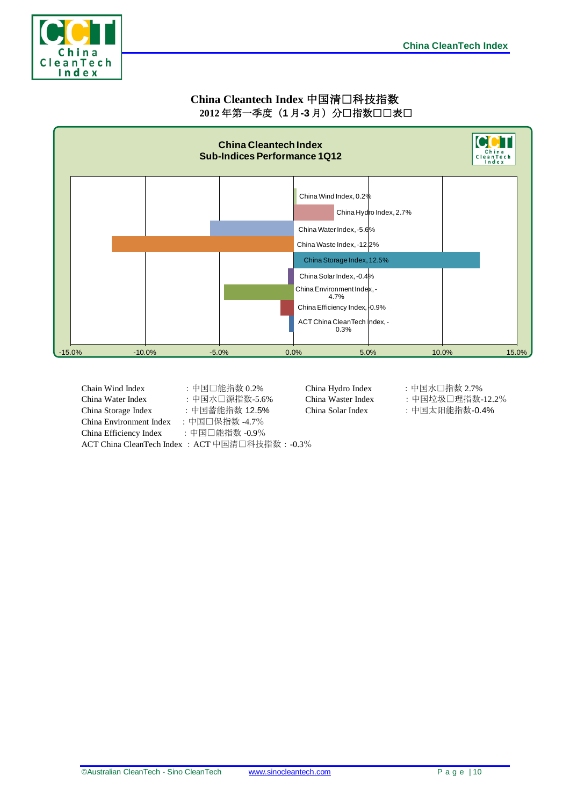

#### **China Cleantech Index** 中国清洁科技指数 2012年第一季度(1月-3月)分口指数口口表口



| Chain Wind Index        | :中国□能指数 0.2%                                    | $\subset$ |
|-------------------------|-------------------------------------------------|-----------|
| China Water Index       | : 中国水□源指数-5.6%                                  | C         |
| China Storage Index     | : 中国蓄能指数 12.5%                                  | C         |
| China Environment Index | :中国口保指数 -4.7%                                   |           |
| China Efficiency Index  | :中国□能指数 -0.9%                                   |           |
|                         | ACT China CleanTech Index : ACT 中国清口科技指数: -0.3% |           |

 $China Hydro Index$ :中国水口指数 2.7%

- China Waster Index : 中国垃圾口理指数-12.2%
- China Solar Index :中国太阳能指数-0.4%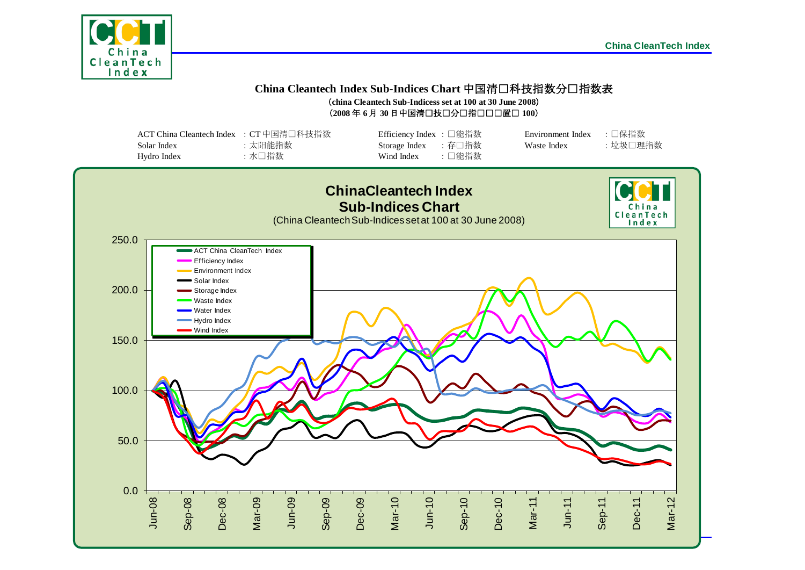

#### **China Cleantech Index Sub-Indices Chart** 中国清洁科技指数分项指数表 (**china Cleantech Sub-Indicess set at 100 at 30 June 2008**)

 $(2008 \n466 \n467 \n30 \n41 \n41 \n42 \n430 \n45 \n461 \n47 \n481 \n491 \n400 \n411 \n42 \n431 \n441 \n451 \n461 \n471 \n481 \n491 \n400 \n411 \n421 \n432 \n443 \n454 \n464 \n471 \n481 \n491 \n400 \n411 \n421 \n432 \n443 \n454 \n464 \n471 \n481 \n491 \n400 \n401 \n$